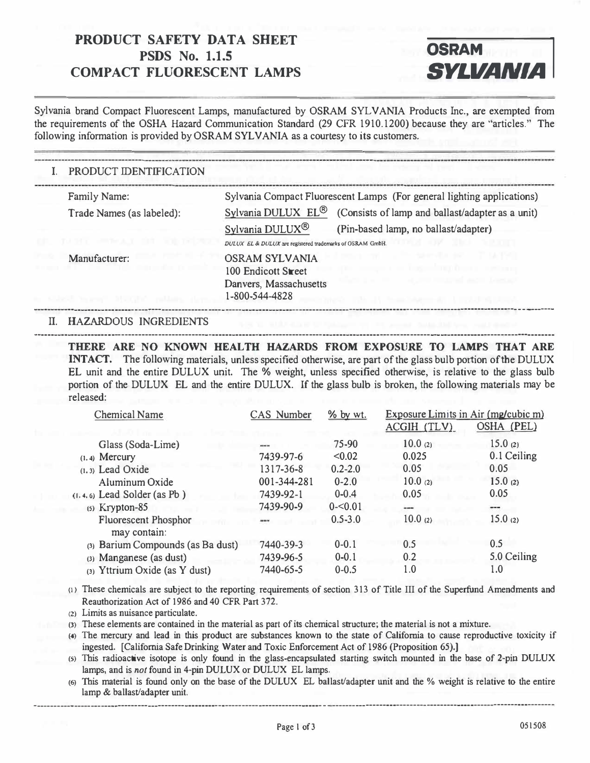# **I PRODUCT SAFETY DATA SHEET**<br> **COMPACT FLUORESCENT LAMPS SYLVANIA PRODUCT SAFETY DATA SHEET <br>PSDS No. 1.1.5 <b>OSRAM**

-------

.....-----------------------------------------------------------------· ---·--------------------------------

---



---------------- ----

·--- ------------------------· ·---------------

- · · --------

Sylvania brand Compact Fluorescent Lamps, manufactured by OSRAM SYLVANIA Products Inc., are exempted from the requirements of the OSHA Hazard Communication Standard (29 CFR 1910.1200) because they are "articles." The following information is provided by OSRAM SYLVANIA as a courtesy to its customers.

## I. PRODUCT IDENTIFICATION Family Name: Sylvania Compact Fluorescent Lamps (For general lighting applications) Trade Names (as labeled): Sylvania DULUX EL<sup>®</sup> (Consists of lamp and ballast/adapter as a unit) Sylvania DULUX<sup>®</sup> (Pin-based lamp, no ballast/adapter) *DUI.UX El* **&***DI/LUX***arc regis1cred trdcmarks of OSRAM GmbH.**  Manufacturer: OSRAM SYLVANIA 100 Endicott Street Danvers, Massachusetts 1-800-544-4828

#### II. HAZARDOUS INGREDIENTS

---------

---------------------------------

--------·----------·

**THERE ARE NO KNOWN HEALTH HAZARDS FROM EXPOSURE TO LAMPS THAT ARE INTACT.** The following materials, unless specified otherwise, are part of the glass bulb portion of the DULUX EL unit and the entire DULUX unit. The % weight, unless specified otherwise, is relative to the glass bulb portion of the DULUX EL and the entire DULUX. If the glass bulb is broken, the following materials may be released:

· -·---·----------· ·------------------------ ·---------------·------------------·--------------- --------

| <b>Chemical Name</b>                        | CAS Number  | $%$ by wt.  | Exposure Limits in Air (mg/cubic m)<br>OSHA (PEL)<br>ACGIH (TLV) |             |
|---------------------------------------------|-------------|-------------|------------------------------------------------------------------|-------------|
| Glass (Soda-Lime)                           | ---         | 75-90       | 10.0(2)                                                          | 15.0(2)     |
| $(1, 4)$ Mercury                            | 7439-97-6   | < 0.02      | 0.025                                                            | 0.1 Ceiling |
| $(1, 3)$ Lead Oxide                         | 1317-36-8   | $0.2 - 2.0$ | 0.05                                                             | 0.05        |
| Aluminum Oxide                              | 001-344-281 | $0 - 2.0$   | 10.0(2)                                                          | 15.0(2)     |
| $(1.4.6)$ Lead Solder (as Pb)               | 7439-92-1   | $0 - 0.4$   | 0.05                                                             | 0.05        |
| $(5)$ Krypton-85                            | 7439-90-9   | $0 - 0.01$  | $\cdots$                                                         | ---         |
| <b>Fluorescent Phosphor</b><br>may contain: | ---         | $0.5 - 3.0$ | 10.0(2)                                                          | 15.0(2)     |
| (3) Barium Compounds (as Ba dust)           | 7440-39-3   | $0 - 0.1$   | 0.5                                                              | 0.5         |
| (3) Manganese (as dust)                     | 7439-96-5   | $0 - 0.1$   | 0.2                                                              | 5.0 Ceiling |
| (3) Yttrium Oxide (as Y dust)               | 7440-65-5   | $0 - 0.5$   | 1.0                                                              | 1.0         |

**c1** > These chemicals are subject to the reporting requirements of section 313 of Title III of the Superfund Amendments and Reauthorization Act of 1986 and 40 CFR Part 372.

**(2)** Limits as nuisance particulate.

**(3)** These elements are contained in the material as part of its chemical structure; the material is not a mixture.

**(4)** The mercury and lead in this product are substances known to the state of California to cause reproductive toxicity if ingested. [California Safe Drinking Water and Toxic Enforcement Act of 1986 (Proposition 65).]

cs) This radioactive isotope is only found in the glass-encapsulated starting switch mounted in the base of 2-pin DULUX lamps, and is *not* found in 4-pin DULUX or DULUX EL lamps.

**(6)** This material is found only on the base of the DULUX EL ballast/adapter unit and the % weight is relative to the entire lamp & ballast/adapter unit.

--·-----------------------------------------·---- · -·--------------------- · ------------------- · ------ · ·--·-------------·--------·----------------·-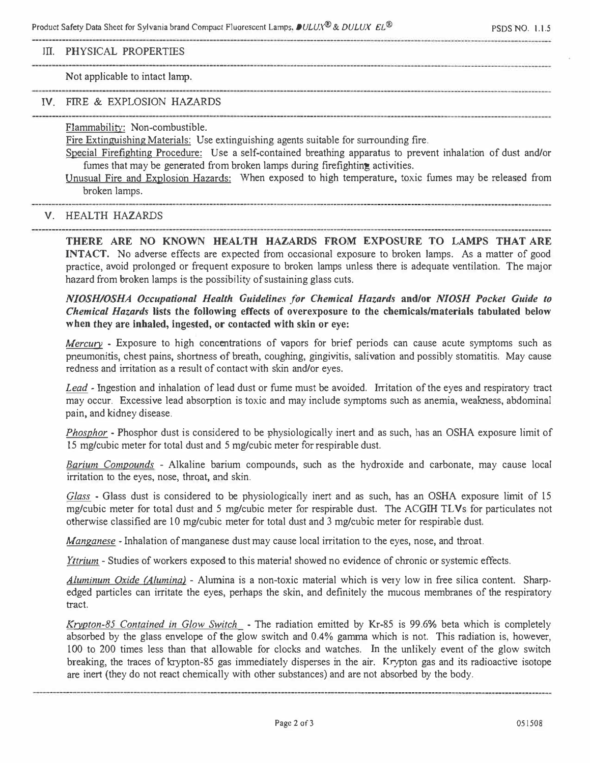Product Safety Data Sheet for Sylvania brand Compact Fluorescent Lamps, *DULUX<sup>®</sup> & DULUX EL®* PSDS NO. 1.1.5

#### III. PHYSICAL PROPERTIES

#### Not applicable to intact lamp.

### IV. FIRE & EXPLOSION HAZARDS

Flammability: Non-combustible.

Fire Extinguishing Materials: Use extinguishing agents suitable for surrounding fire.

Special Firefighting Procedure: Use a self-contained breathing apparatus to prevent inhalation of dust and/or fumes that may be generated from broken lamps during firefighting activities.

Unusual Fire and Explosion Hazards: When exposed to high temperature, toxic fumes may be released from broken lamps.

#### V. HEALTH HAZARDS

**THERE ARE NO KNOWN HEALTH HAZARDS FROM EXPOSURE TO LAMPS THAT ARE INTACT.** No adverse effects are expected from occasional exposure to broken lamps. As a matter of good practice, avoid prolonged or frequent exposure to broken lamps unless there is adequate ventilation. The major hazard from broken lamps is the possibility of sustaining glass cuts.

*NIOSH/OSHA Occupational Health Guidelines for Chemical Hazards and/or NIOSH Pocket Guide to Chemical Hazards* **lists the following effects of overexposure to the chemicals/materials tabulated below when they are inhaled, ingested, or contacted with skin or eye:** 

*Mercury* - Exposure to high concentrations of vapors for brief periods can cause acute symptoms such as pneumonitis, chest pains, shortness of breath, coughing, gingivitis, salivation and possibly stomatitis. May cause redness and irritation as a result of contact with skin and/or eyes.

*Lead* - Ingestion and inhalation of lead dust or fume must be avoided. Irritation of the eyes and respiratory tract may occur. Excessive lead absorption is toxic and may include symptoms such as anemia, weakness, abdominal pain, and kidney disease.

*Phosphor* - Phosphor dust is considered to be physiologically inert and as such, has an OSHA exposure limit of 15 mg/cubic meter for total dust and 5 mg/cubic meter for respirable dust.

*Barium Compounds* - Alkaline barium compounds, such as the hydroxide and carbonate, may cause local irritation to the eyes, nose, throat, and skin.

*Glass* - Glass dust is considered to be physiologically inert and as such, has an OSHA exposure limit of 15 mg/cubic meter for total dust and 5 mg/cubic meter for respirable dust. The ACGJH TL Vs for particulates not otherwise classified are 10 mg/cubic meter for total dust and 3 mg/cubic meter for respirable dust.

*Manganese* - Inhalation of manganese dust may cause local irritation to the eyes, nose, and throat.

*Yttrium* - Studies of workers exposed to this material showed no evidence of chronic or systemic effects.

*Aluminum Oxide (Alumina)* - Alumina is a non-toxic material which is very low in free silica content. Sharpedged particles can irritate the eyes, perhaps the skin, and definitely the mucous membranes of the respiratory tract.

*Krypton-85 Contained in Glow Switch* - The radiation emitted by Kr-85 is 99.6% beta which is completely absorbed by the glass envelope of the glow switch and 0.4% gamma which is not. This radiation is, however, 100 to 200 times less than that allowable for clocks and watches. In the unlikely event of the glow switch breaking, the traces of krypton-85 gas immediately disperses in the air. Krypton gas and its radioactive isotope are inert (they do not react chemically with other substances) and are not absorbed by the body.

Page 2 of 3 051508